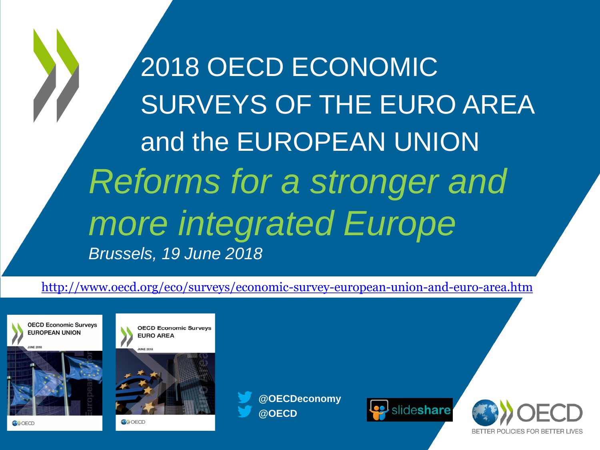2018 OECD ECONOMIC SURVEYS OF THE EURO AREA and the EUROPEAN UNION *Reforms for a stronger and more integrated Europe Brussels, 19 June 2018*

<http://www.oecd.org/eco/surveys/economic-survey-european-union-and-euro-area.htm>





**OECD Economic Surveys** 

**ON** OECD

**@OECD @OECDeconomy**



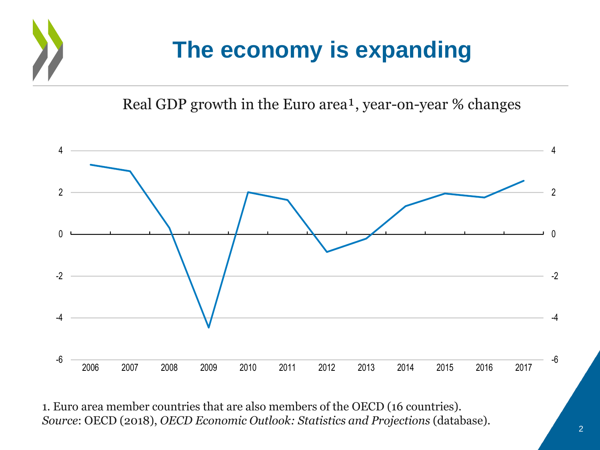

Real GDP growth in the Euro area<sup>1</sup>, year-on-year  $%$  changes



1. Euro area member countries that are also members of the OECD (16 countries). *Source*: OECD (2018), *OECD Economic Outlook: Statistics and Projections* (database).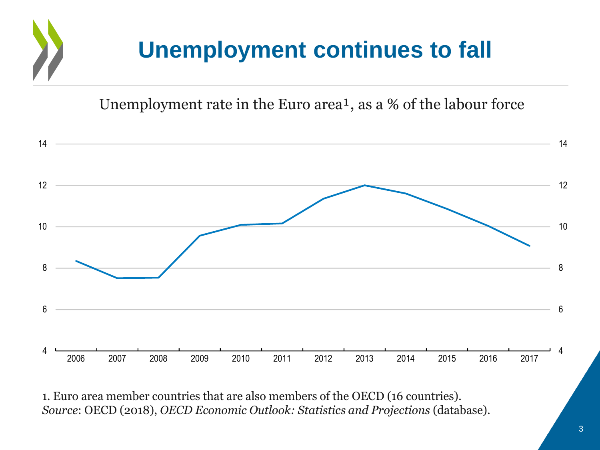

Unemployment rate in the Euro area<sup>1</sup>, as a % of the labour force



1. Euro area member countries that are also members of the OECD (16 countries). *Source*: OECD (2018), *OECD Economic Outlook: Statistics and Projections* (database).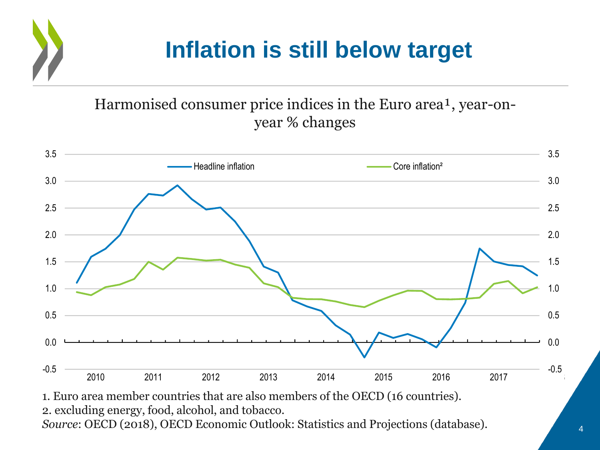### **Inflation is still below target**

Harmonised consumer price indices in the Euro area<sup>1</sup>, year-onyear % changes



1. Euro area member countries that are also members of the OECD (16 countries). 2. excluding energy, food, alcohol, and tobacco. *Source*: OECD (2018), OECD Economic Outlook: Statistics and Projections (database).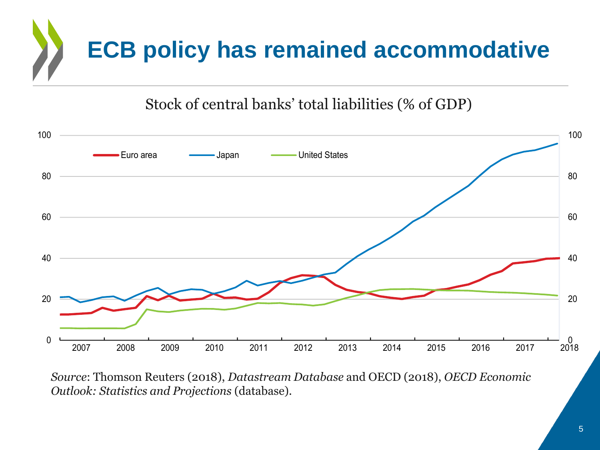# **ECB policy has remained accommodative**

Stock of central banks' total liabilities (% of GDP)



*Source*: Thomson Reuters (2018), *Datastream Database* and OECD (2018), *OECD Economic Outlook: Statistics and Projections* (database).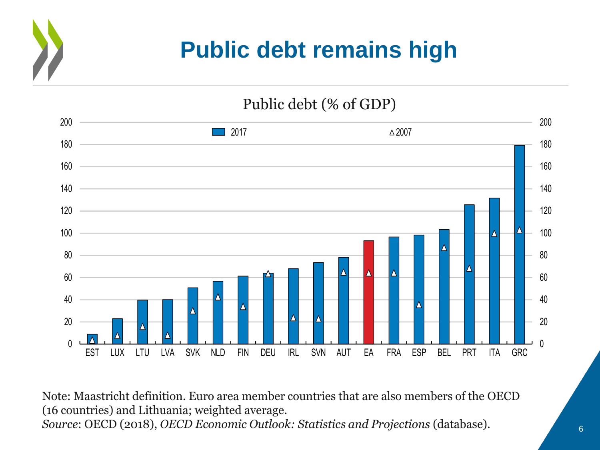## **Public debt remains high**

Public debt (% of GDP)



Note: Maastricht definition. Euro area member countries that are also members of the OECD (16 countries) and Lithuania; weighted average*. Source*: OECD (2018), *OECD Economic Outlook: Statistics and Projections* (database).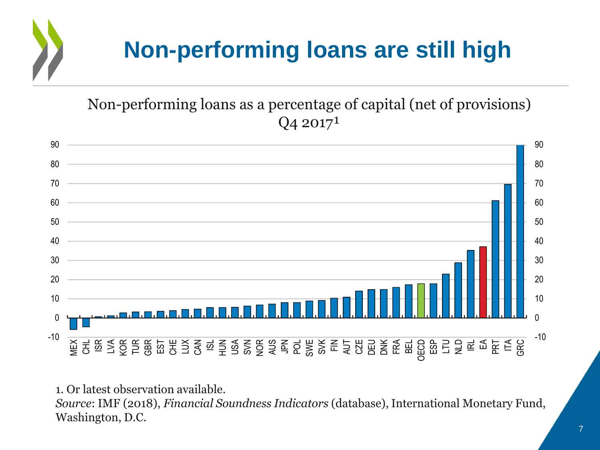# **Non-performing loans are still high**

### Non-performing loans as a percentage of capital (net of provisions)  $Q_4$  2017<sup>1</sup>



1. Or latest observation available.

*Source*: IMF (2018), *Financial Soundness Indicators* (database), International Monetary Fund, Washington, D.C.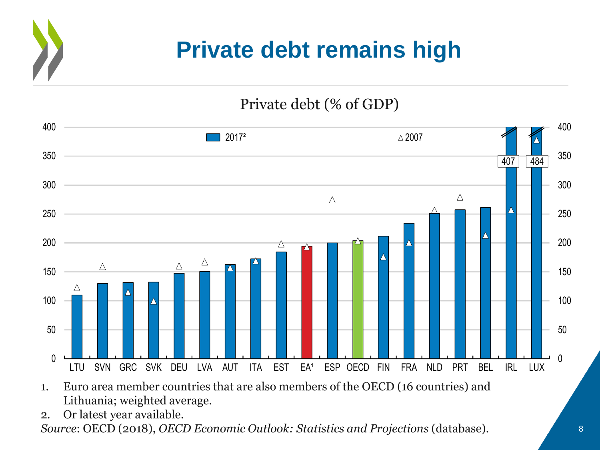### **Private debt remains high**

Private debt (% of GDP)



- 1. Euro area member countries that are also members of the OECD (16 countries) and Lithuania; weighted average*.*
- 2. Or latest year available.

*Source*: OECD (2018), *OECD Economic Outlook: Statistics and Projections* (database).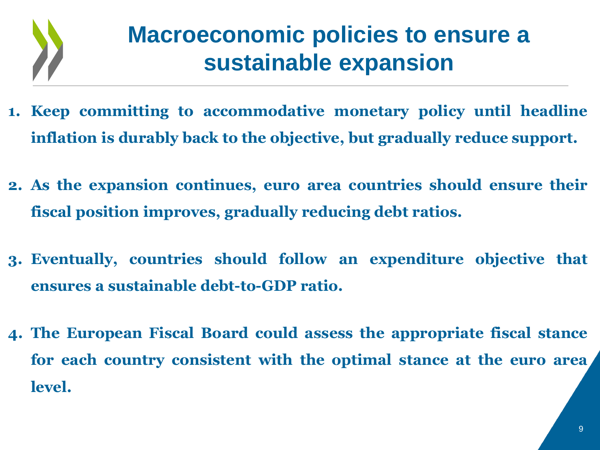

### **Macroeconomic policies to ensure a sustainable expansion**

- **1. Keep committing to accommodative monetary policy until headline inflation is durably back to the objective, but gradually reduce support.**
- **2. As the expansion continues, euro area countries should ensure their fiscal position improves, gradually reducing debt ratios.**
- **3. Eventually, countries should follow an expenditure objective that ensures a sustainable debt-to-GDP ratio.**
- **4. The European Fiscal Board could assess the appropriate fiscal stance for each country consistent with the optimal stance at the euro area level.**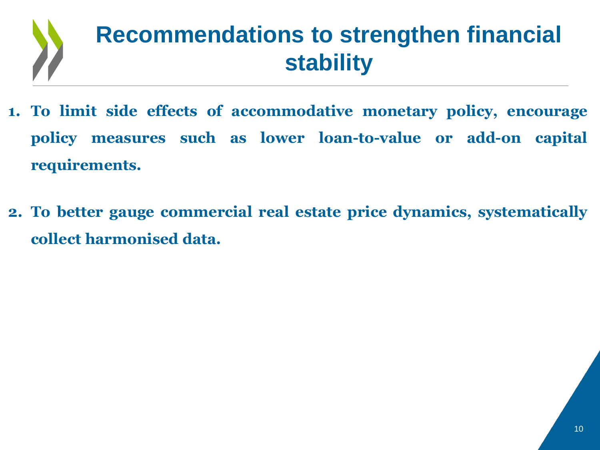

- **1. To limit side effects of accommodative monetary policy, encourage policy measures such as lower loan-to-value or add-on capital requirements.**
- **2. To better gauge commercial real estate price dynamics, systematically collect harmonised data.**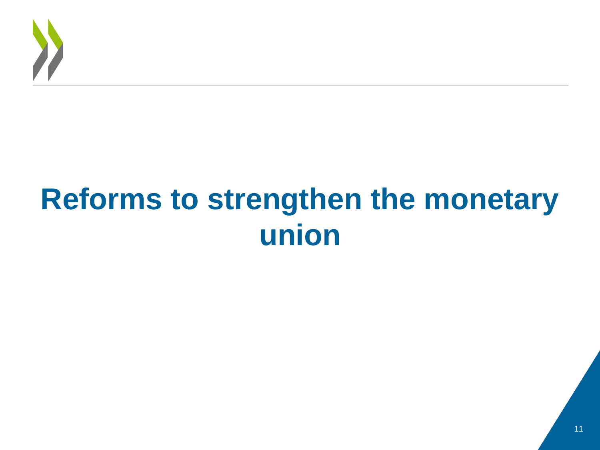

# **Reforms to strengthen the monetary union**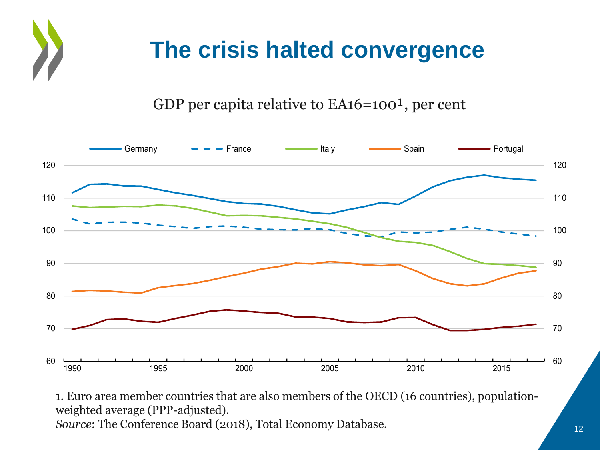# **The crisis halted convergence**

GDP per capita relative to  $EA16=100<sup>1</sup>$ , per cent



1. Euro area member countries that are also members of the OECD (16 countries), populationweighted average (PPP-adjusted). *Source*: The Conference Board (2018), Total Economy Database.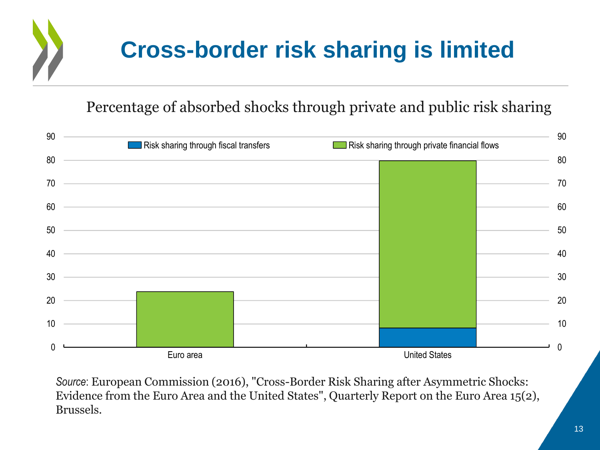

#### Percentage of absorbed shocks through private and public risk sharing



*Source*: European Commission (2016), "Cross-Border Risk Sharing after Asymmetric Shocks: Evidence from the Euro Area and the United States", Quarterly Report on the Euro Area 15(2), Brussels.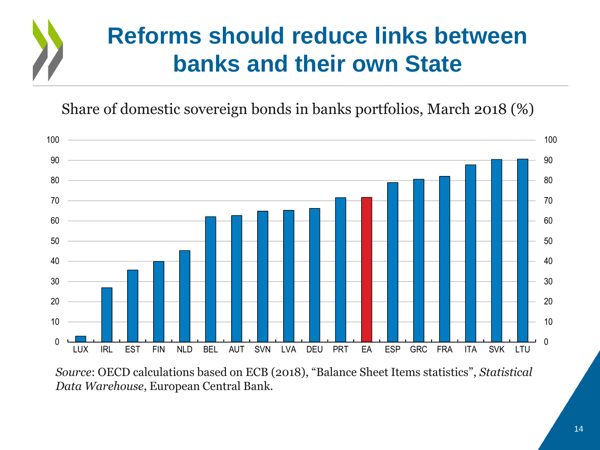## **Reforms should reduce links between banks and their own State**

Share of domestic sovereign bonds in banks portfolios, March 2018 (%)



*Source*: OECD calculations based on ECB (2018), "Balance Sheet Items statistics", *Statistical Data Warehouse*, European Central Bank.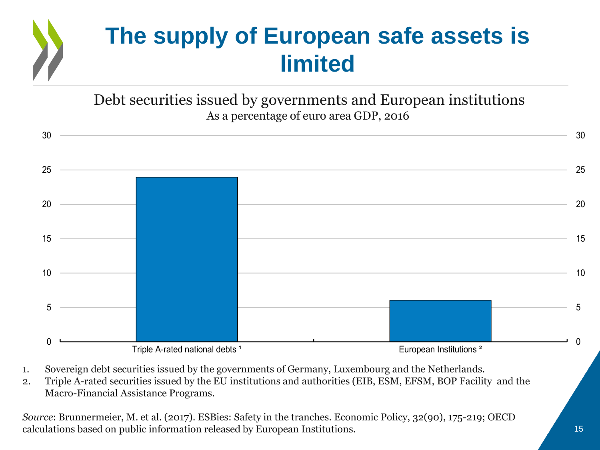

Debt securities issued by governments and European institutions As a percentage of euro area GDP, 2016



- 1. Sovereign debt securities issued by the governments of Germany, Luxembourg and the Netherlands.
- 2. Triple A-rated securities issued by the EU institutions and authorities (EIB, ESM, EFSM, BOP Facility and the Macro-Financial Assistance Programs.

*Source*: Brunnermeier, M. et al. (2017). ESBies: Safety in the tranches. Economic Policy, 32(90), 175-219; OECD calculations based on public information released by European Institutions.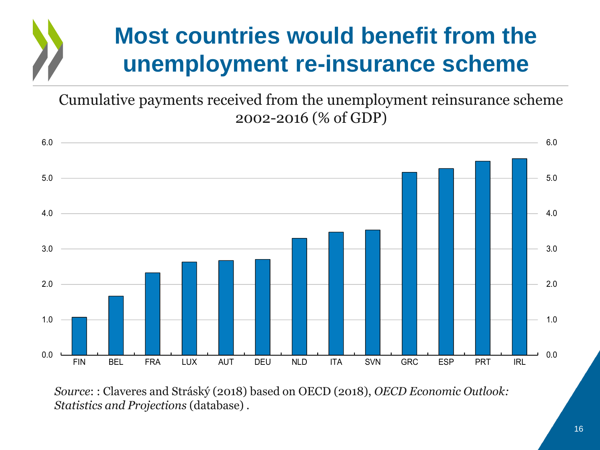## **Most countries would benefit from the unemployment re-insurance scheme**

Cumulative payments received from the unemployment reinsurance scheme 2002-2016 (% of GDP)



*Source*: : Claveres and Stráský (2018) based on OECD (2018), *OECD Economic Outlook: Statistics and Projections* (database) .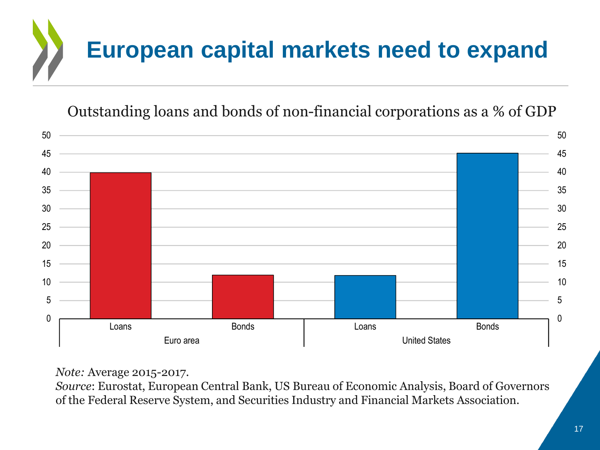

Outstanding loans and bonds of non-financial corporations as a % of GDP



*Note:* Average 2015-2017.

*Source*: Eurostat, European Central Bank, US Bureau of Economic Analysis, Board of Governors of the Federal Reserve System, and Securities Industry and Financial Markets Association.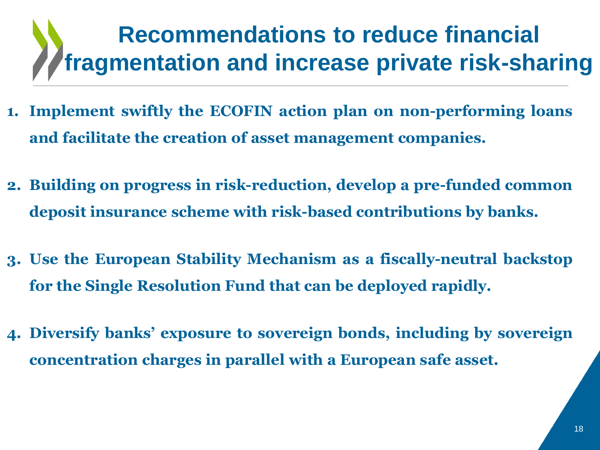## **Recommendations to reduce financial fragmentation and increase private risk-sharing**

- **1. Implement swiftly the ECOFIN action plan on non-performing loans and facilitate the creation of asset management companies.**
- **2. Building on progress in risk-reduction, develop a pre-funded common deposit insurance scheme with risk-based contributions by banks.**
- **3. Use the European Stability Mechanism as a fiscally-neutral backstop for the Single Resolution Fund that can be deployed rapidly.**
- **4. Diversify banks' exposure to sovereign bonds, including by sovereign concentration charges in parallel with a European safe asset.**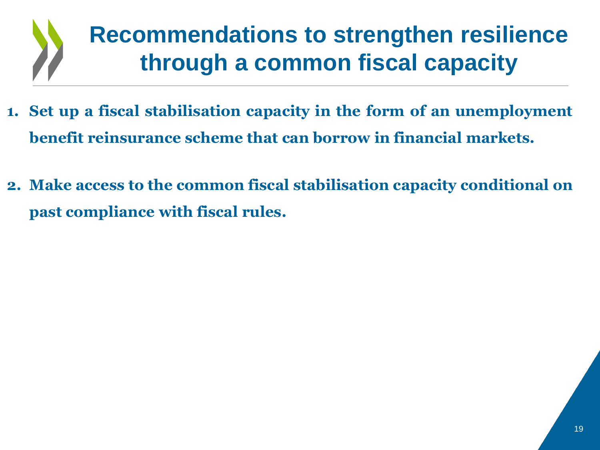

- **1. Set up a fiscal stabilisation capacity in the form of an unemployment benefit reinsurance scheme that can borrow in financial markets.**
- **2. Make access to the common fiscal stabilisation capacity conditional on past compliance with fiscal rules.**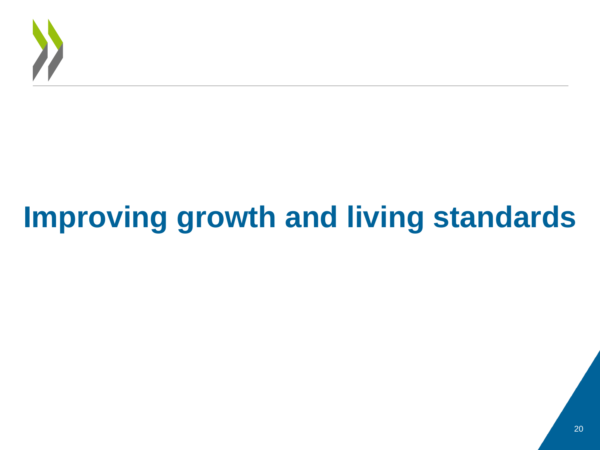

# **Improving growth and living standards**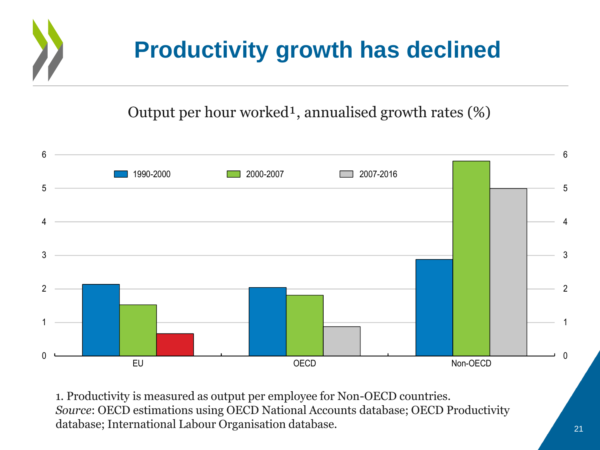# **Productivity growth has declined**

Output per hour worked<sup>1</sup>, annualised growth rates  $(\%)$ 



1. Productivity is measured as output per employee for Non-OECD countries. *Source*: OECD estimations using OECD National Accounts database; OECD Productivity database; International Labour Organisation database.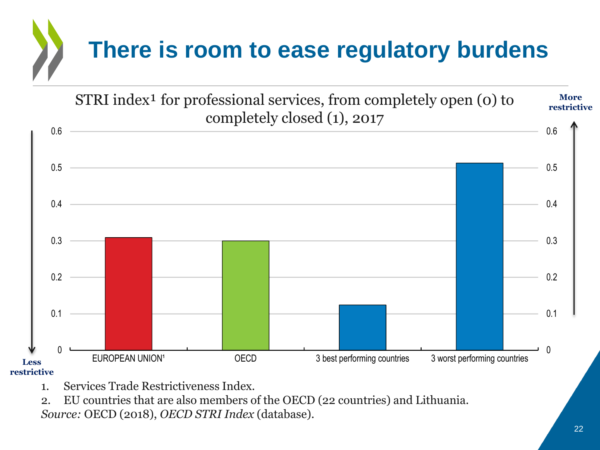



1. Services Trade Restrictiveness Index.

2. EU countries that are also members of the OECD (22 countries) and Lithuania. *Source:* OECD (2018), *OECD STRI Index* (database).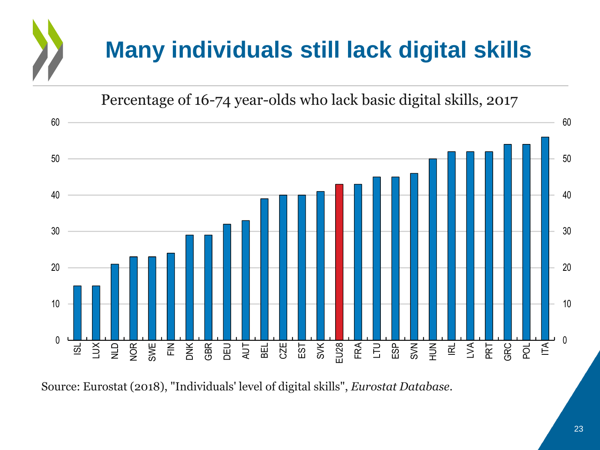# **Many individuals still lack digital skills**

Percentage of 16-74 year-olds who lack basic digital skills, 2017



Source: Eurostat (2018), "Individuals' level of digital skills", *Eurostat Database*.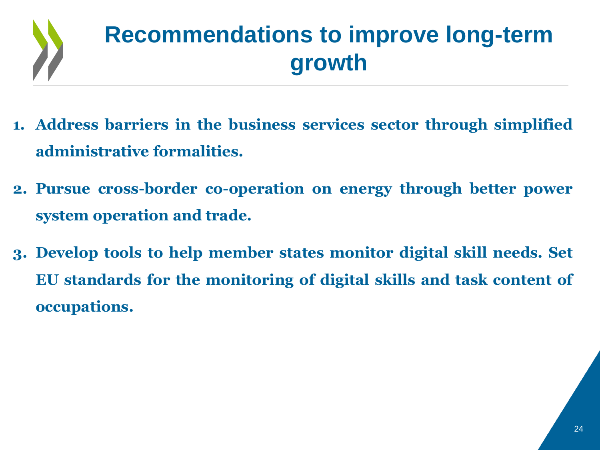

## **Recommendations to improve long-term growth**

- **1. Address barriers in the business services sector through simplified administrative formalities.**
- **2. Pursue cross-border co-operation on energy through better power system operation and trade.**
- **3. Develop tools to help member states monitor digital skill needs. Set EU standards for the monitoring of digital skills and task content of occupations.**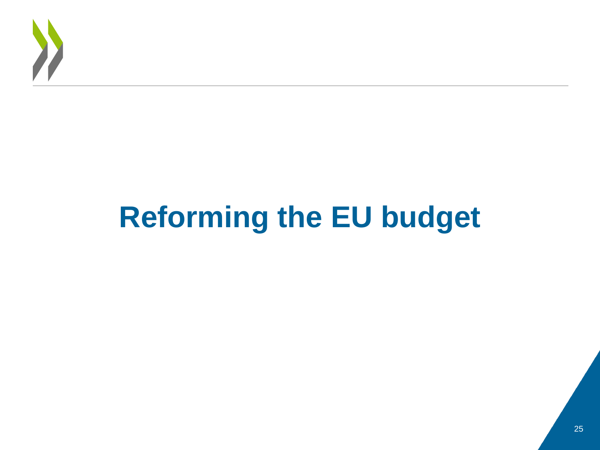

# **Reforming the EU budget**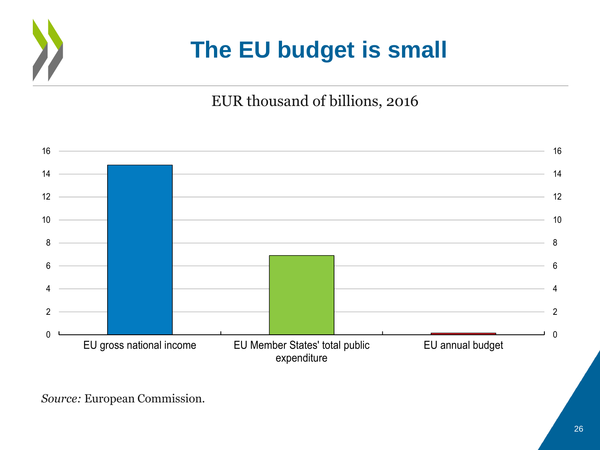

### **The EU budget is small**

### EUR thousand of billions, 2016



*Source:* European Commission.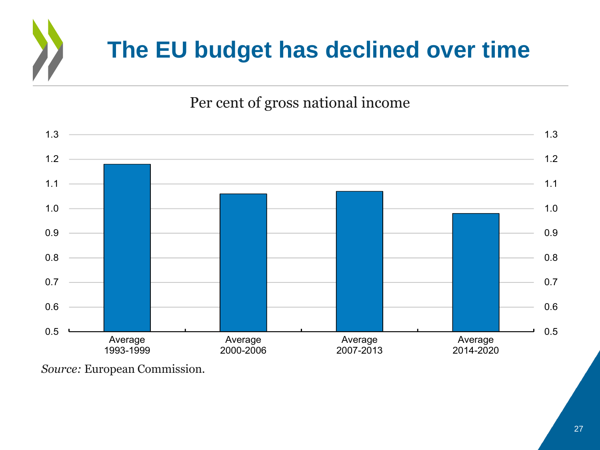# **The EU budget has declined over time**

### Per cent of gross national income



*Source:* European Commission.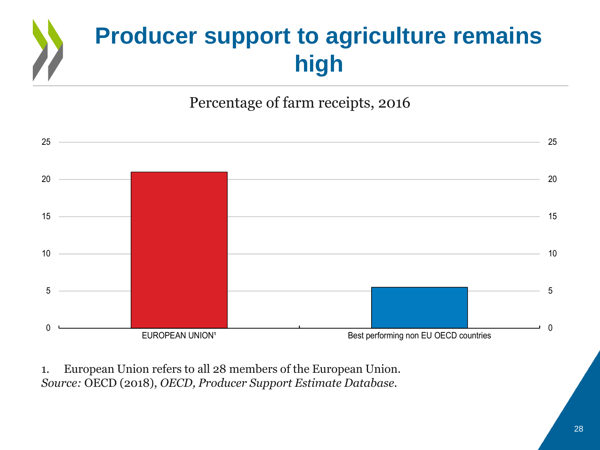# **Producer support to agriculture remains high**

### Percentage of farm receipts, 2016



1. European Union refers to all 28 members of the European Union. *Source:* OECD (2018), *OECD, Producer Support Estimate Database.*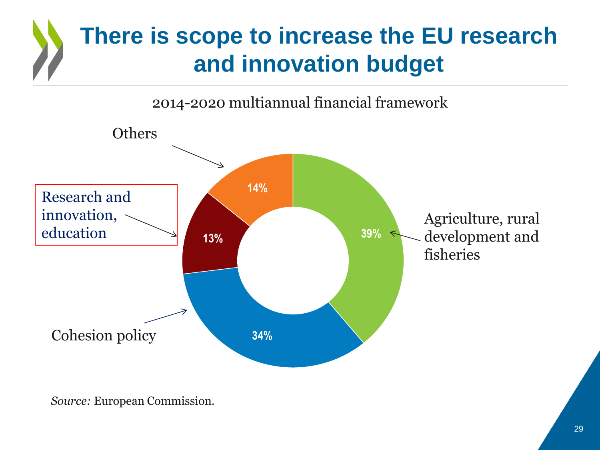# **There is scope to increase the EU research and innovation budget**

2014-2020 multiannual financial framework



*Source:* European Commission*.*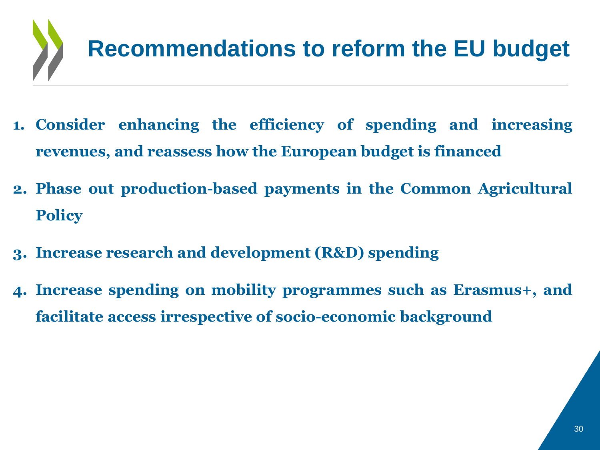

- **1. Consider enhancing the efficiency of spending and increasing revenues, and reassess how the European budget is financed**
- **2. Phase out production-based payments in the Common Agricultural Policy**
- **3. Increase research and development (R&D) spending**
- **4. Increase spending on mobility programmes such as Erasmus+, and facilitate access irrespective of socio-economic background**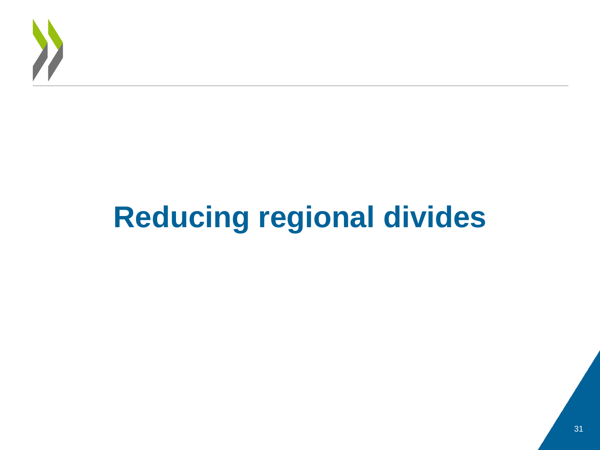

# **Reducing regional divides**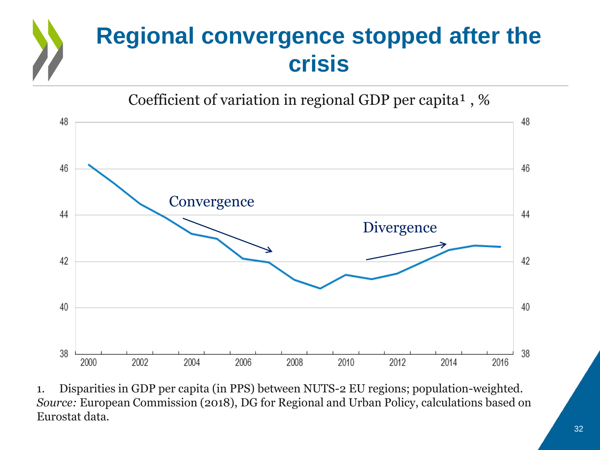# **Regional convergence stopped after the crisis**



1. Disparities in GDP per capita (in PPS) between NUTS-2 EU regions; population-weighted. *Source:* European Commission (2018), DG for Regional and Urban Policy, calculations based on Eurostat data*.*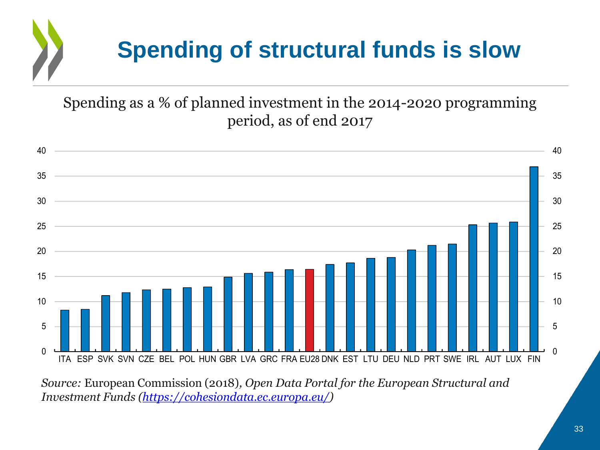# **Spending of structural funds is slow**

Spending as a % of planned investment in the 2014-2020 programming period, as of end 2017



*Source:* European Commission (2018)*, Open Data Portal for the European Structural and Investment Funds (<https://cohesiondata.ec.europa.eu/>)*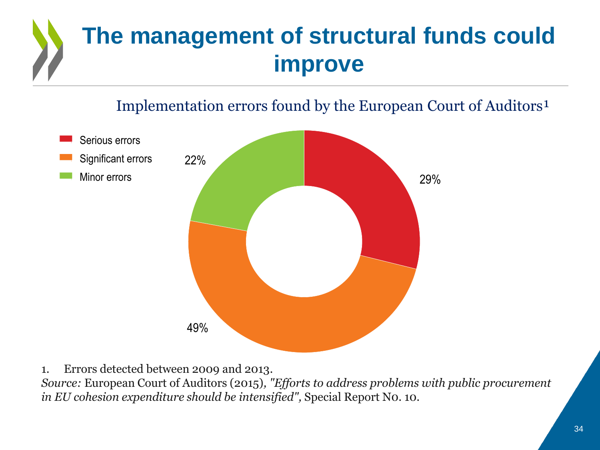# **The management of structural funds could improve**

Implementation errors found by the European Court of Auditors<sup>1</sup>



1. Errors detected between 2009 and 2013.

*Source:* European Court of Auditors (2015)*, "Efforts to address problems with public procurement in EU cohesion expenditure should be intensified",* Special Report N0. 10*.*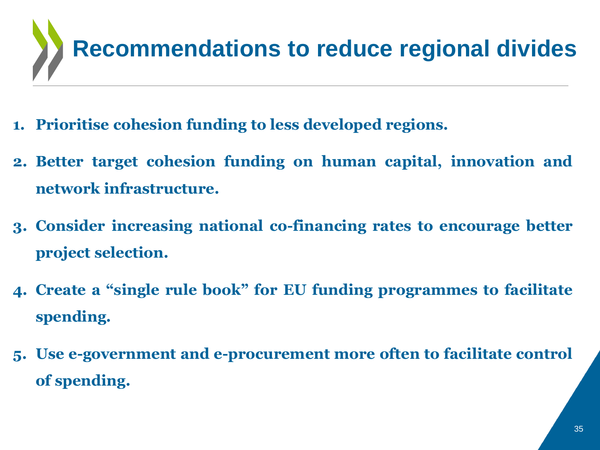

- **1. Prioritise cohesion funding to less developed regions.**
- **2. Better target cohesion funding on human capital, innovation and network infrastructure.**
- **3. Consider increasing national co-financing rates to encourage better project selection.**
- **4. Create a "single rule book" for EU funding programmes to facilitate spending.**
- **5. Use e-government and e-procurement more often to facilitate control of spending.**